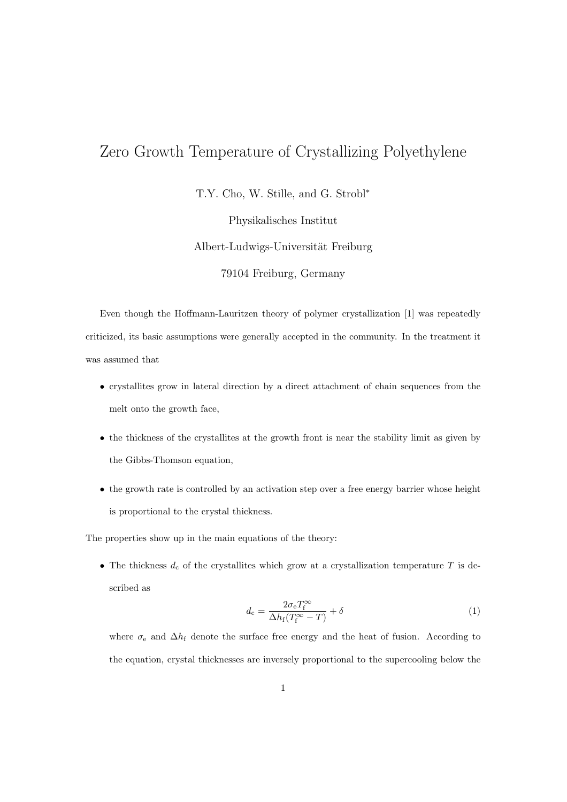## Zero Growth Temperature of Crystallizing Polyethylene

T.Y. Cho, W. Stille, and G. Strobl<sup>∗</sup>

Physikalisches Institut

Albert-Ludwigs-Universität Freiburg

79104 Freiburg, Germany

Even though the Hoffmann-Lauritzen theory of polymer crystallization [1] was repeatedly criticized, its basic assumptions were generally accepted in the community. In the treatment it was assumed that

- crystallites grow in lateral direction by a direct attachment of chain sequences from the melt onto the growth face,
- the thickness of the crystallites at the growth front is near the stability limit as given by the Gibbs-Thomson equation,
- the growth rate is controlled by an activation step over a free energy barrier whose height is proportional to the crystal thickness.

The properties show up in the main equations of the theory:

• The thickness  $d_c$  of the crystallites which grow at a crystallization temperature T is described as

$$
d_{\rm c} = \frac{2\sigma_{\rm e}T_{\rm f}^{\infty}}{\Delta h_{\rm f}(T_{\rm f}^{\infty} - T)} + \delta
$$
\n(1)

where  $\sigma_e$  and  $\Delta h_f$  denote the surface free energy and the heat of fusion. According to the equation, crystal thicknesses are inversely proportional to the supercooling below the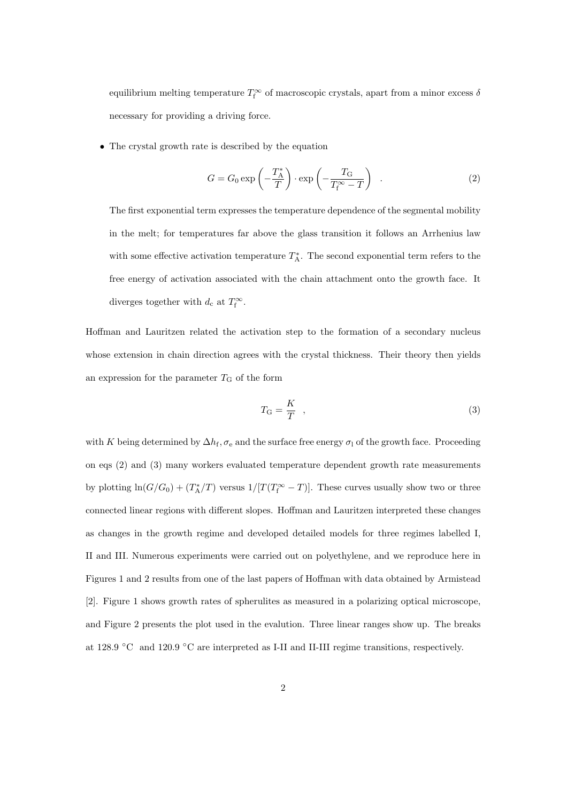equilibrium melting temperature  $T_f^{\infty}$  of macroscopic crystals, apart from a minor excess  $\delta$ necessary for providing a driving force.

• The crystal growth rate is described by the equation

$$
G = G_0 \exp\left(-\frac{T_A^*}{T}\right) \cdot \exp\left(-\frac{T_G}{T_f^* - T}\right) \quad . \tag{2}
$$

The first exponential term expresses the temperature dependence of the segmental mobility in the melt; for temperatures far above the glass transition it follows an Arrhenius law with some effective activation temperature  $T_A^*$ . The second exponential term refers to the free energy of activation associated with the chain attachment onto the growth face. It diverges together with  $d_c$  at  $T_f^{\infty}$ .

Hoffman and Lauritzen related the activation step to the formation of a secondary nucleus whose extension in chain direction agrees with the crystal thickness. Their theory then yields an expression for the parameter  $T<sub>G</sub>$  of the form

$$
T_{\rm G} = \frac{K}{T} \quad , \tag{3}
$$

with K being determined by  $\Delta h_f$ ,  $\sigma_e$  and the surface free energy  $\sigma_1$  of the growth face. Proceeding on eqs (2) and (3) many workers evaluated temperature dependent growth rate measurements by plotting  $\ln(G/G_0) + (T_A^*/T)$  versus  $1/[T(T_f^{\infty} - T)]$ . These curves usually show two or three connected linear regions with different slopes. Hoffman and Lauritzen interpreted these changes as changes in the growth regime and developed detailed models for three regimes labelled I, II and III. Numerous experiments were carried out on polyethylene, and we reproduce here in Figures 1 and 2 results from one of the last papers of Hoffman with data obtained by Armistead [2]. Figure 1 shows growth rates of spherulites as measured in a polarizing optical microscope, and Figure 2 presents the plot used in the evalution. Three linear ranges show up. The breaks at 128.9 ◦C and 120.9 ◦C are interpreted as I-II and II-III regime transitions, respectively.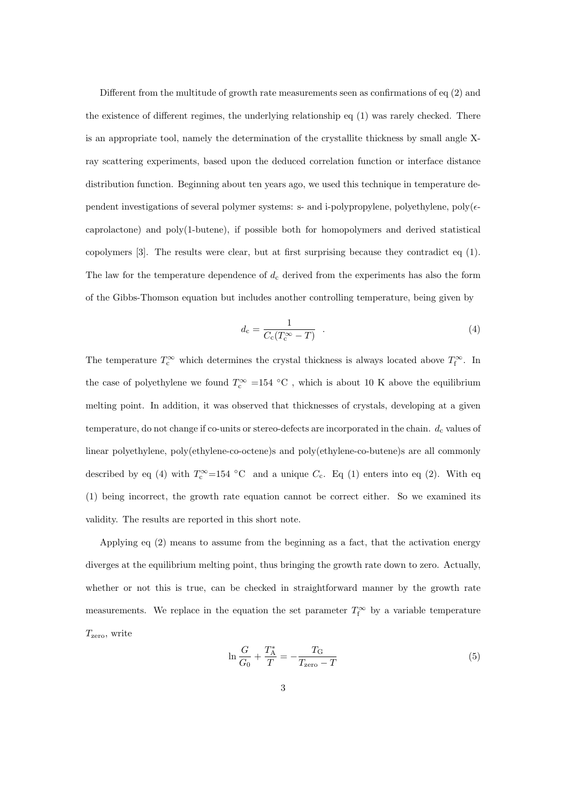Different from the multitude of growth rate measurements seen as confirmations of eq (2) and the existence of different regimes, the underlying relationship eq (1) was rarely checked. There is an appropriate tool, namely the determination of the crystallite thickness by small angle Xray scattering experiments, based upon the deduced correlation function or interface distance distribution function. Beginning about ten years ago, we used this technique in temperature dependent investigations of several polymer systems: s- and i-polypropylene, polyethylene, poly $(\epsilon$ caprolactone) and poly(1-butene), if possible both for homopolymers and derived statistical copolymers [3]. The results were clear, but at first surprising because they contradict eq (1). The law for the temperature dependence of  $d_c$  derived from the experiments has also the form of the Gibbs-Thomson equation but includes another controlling temperature, being given by

$$
d_{\rm c} = \frac{1}{C_{\rm c}(T_{\rm c}^{\infty} - T)} \quad . \tag{4}
$$

The temperature  $T_c^{\infty}$  which determines the crystal thickness is always located above  $T_f^{\infty}$ . In the case of polyethylene we found  $T_c^{\infty}$  =154 °C, which is about 10 K above the equilibrium melting point. In addition, it was observed that thicknesses of crystals, developing at a given temperature, do not change if co-units or stereo-defects are incorporated in the chain.  $d_c$  values of linear polyethylene, poly(ethylene-co-octene)s and poly(ethylene-co-butene)s are all commonly described by eq (4) with  $T_c^{\infty}$ =154 °C and a unique  $C_c$ . Eq (1) enters into eq (2). With eq (1) being incorrect, the growth rate equation cannot be correct either. So we examined its validity. The results are reported in this short note.

Applying eq (2) means to assume from the beginning as a fact, that the activation energy diverges at the equilibrium melting point, thus bringing the growth rate down to zero. Actually, whether or not this is true, can be checked in straightforward manner by the growth rate measurements. We replace in the equation the set parameter  $T_f^{\infty}$  by a variable temperature  $T_{\rm zero}$ , write

$$
\ln \frac{G}{G_0} + \frac{T_{\rm A}^*}{T} = -\frac{T_{\rm G}}{T_{\rm zero} - T} \tag{5}
$$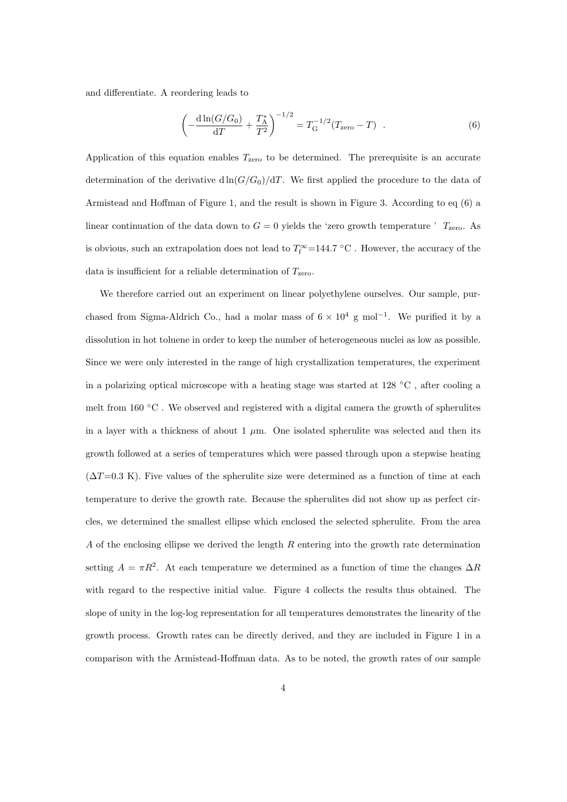and differentiate. A reordering leads to

$$
\left(-\frac{\mathrm{d}\ln(G/G_0)}{\mathrm{d}T} + \frac{T_{\rm A}^*}{T^2}\right)^{-1/2} = T_{\rm G}^{-1/2}(T_{\rm zero} - T) \quad . \tag{6}
$$

Application of this equation enables  $T_{\rm zero}$  to be determined. The prerequisite is an accurate determination of the derivative  $d\ln(G/G_0)/dT$ . We first applied the procedure to the data of Armistead and Hoffman of Figure 1, and the result is shown in Figure 3. According to eq (6) a linear continuation of the data down to  $G = 0$  yields the 'zero growth temperature '  $T_{\text{zero}}$ . As is obvious, such an extrapolation does not lead to  $T_f^{\infty}$  =144.7 °C. However, the accuracy of the data is insufficient for a reliable determination of  $T_{\rm zero}$ .

We therefore carried out an experiment on linear polyethylene ourselves. Our sample, purchased from Sigma-Aldrich Co., had a molar mass of  $6 \times 10^4$  g mol<sup>-1</sup>. We purified it by a dissolution in hot toluene in order to keep the number of heterogeneous nuclei as low as possible. Since we were only interested in the range of high crystallization temperatures, the experiment in a polarizing optical microscope with a heating stage was started at 128 ◦C , after cooling a melt from  $160 \degree C$ . We observed and registered with a digital camera the growth of spherulites in a layer with a thickness of about  $1 \mu m$ . One isolated spherulite was selected and then its growth followed at a series of temperatures which were passed through upon a stepwise heating  $(\Delta T=0.3 \text{ K})$ . Five values of the spherulite size were determined as a function of time at each temperature to derive the growth rate. Because the spherulites did not show up as perfect circles, we determined the smallest ellipse which enclosed the selected spherulite. From the area A of the enclosing ellipse we derived the length R entering into the growth rate determination setting  $A = \pi R^2$ . At each temperature we determined as a function of time the changes  $\Delta R$ with regard to the respective initial value. Figure 4 collects the results thus obtained. The slope of unity in the log-log representation for all temperatures demonstrates the linearity of the growth process. Growth rates can be directly derived, and they are included in Figure 1 in a comparison with the Armistead-Hoffman data. As to be noted, the growth rates of our sample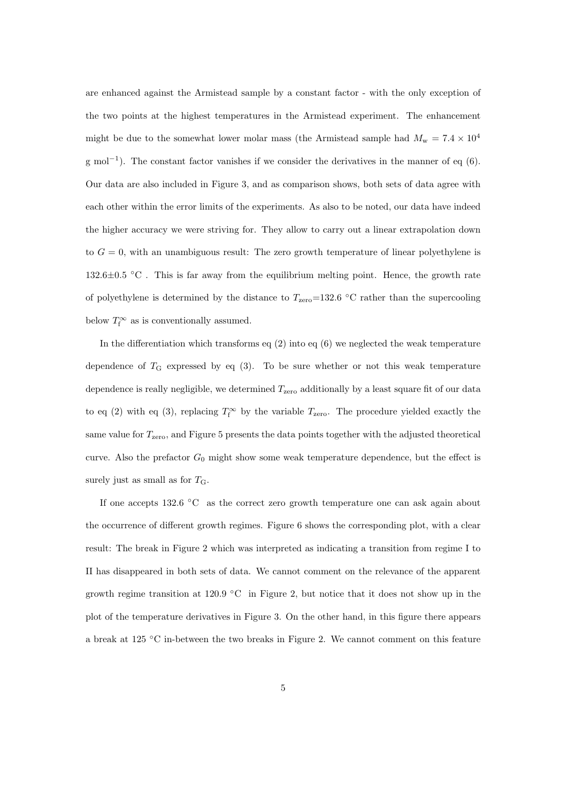are enhanced against the Armistead sample by a constant factor - with the only exception of the two points at the highest temperatures in the Armistead experiment. The enhancement might be due to the somewhat lower molar mass (the Armistead sample had  $M_w = 7.4 \times 10^4$ g mol<sup>-1</sup>). The constant factor vanishes if we consider the derivatives in the manner of eq (6). Our data are also included in Figure 3, and as comparison shows, both sets of data agree with each other within the error limits of the experiments. As also to be noted, our data have indeed the higher accuracy we were striving for. They allow to carry out a linear extrapolation down to  $G = 0$ , with an unambiguous result: The zero growth temperature of linear polyethylene is  $132.6\pm0.5$  °C. This is far away from the equilibrium melting point. Hence, the growth rate of polyethylene is determined by the distance to  $T_{\text{zero}}=132.6 \text{ °C}$  rather than the supercooling below  $T_{\rm f}^{\infty}$  as is conventionally assumed.

In the differentiation which transforms eq  $(2)$  into eq  $(6)$  we neglected the weak temperature dependence of  $T<sub>G</sub>$  expressed by eq (3). To be sure whether or not this weak temperature dependence is really negligible, we determined  $T_{\rm zero}$  additionally by a least square fit of our data to eq (2) with eq (3), replacing  $T_f^{\infty}$  by the variable  $T_{\rm zero}$ . The procedure yielded exactly the same value for  $T_{\rm zero}$ , and Figure 5 presents the data points together with the adjusted theoretical curve. Also the prefactor  $G_0$  might show some weak temperature dependence, but the effect is surely just as small as for  $T_{\rm G}$ .

If one accepts 132.6 ◦C as the correct zero growth temperature one can ask again about the occurrence of different growth regimes. Figure 6 shows the corresponding plot, with a clear result: The break in Figure 2 which was interpreted as indicating a transition from regime I to II has disappeared in both sets of data. We cannot comment on the relevance of the apparent growth regime transition at 120.9 °C in Figure 2, but notice that it does not show up in the plot of the temperature derivatives in Figure 3. On the other hand, in this figure there appears a break at 125 ◦C in-between the two breaks in Figure 2. We cannot comment on this feature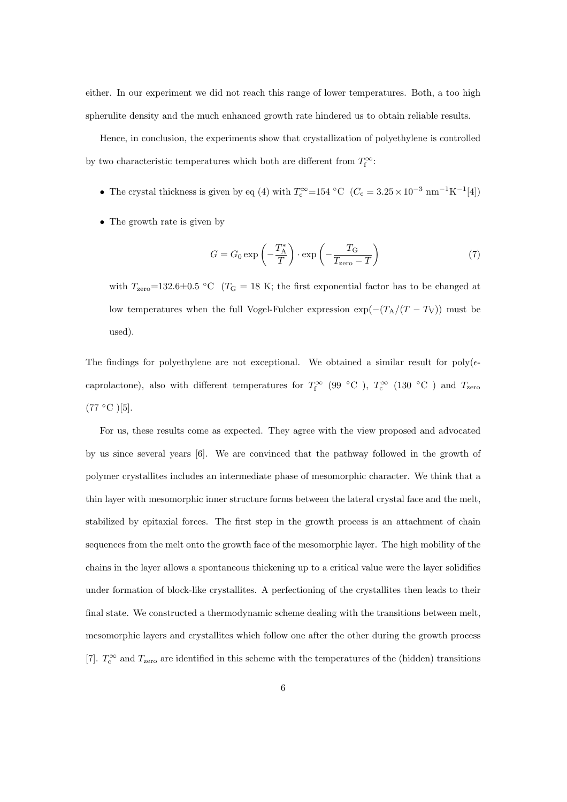either. In our experiment we did not reach this range of lower temperatures. Both, a too high spherulite density and the much enhanced growth rate hindered us to obtain reliable results.

Hence, in conclusion, the experiments show that crystallization of polyethylene is controlled by two characteristic temperatures which both are different from  $T_f^{\infty}$ :

- The crystal thickness is given by eq (4) with  $T_c^{\infty} = 154 \text{ °C}$  ( $C_c = 3.25 \times 10^{-3} \text{ nm}^{-1} \text{K}^{-1} [4]$ )
- The growth rate is given by

$$
G = G_0 \exp\left(-\frac{T_A^*}{T}\right) \cdot \exp\left(-\frac{T_G}{T_{\text{zero}} - T}\right) \tag{7}
$$

with  $T_{\text{zero}}=132.6\pm0.5$  °C ( $T_{\text{G}}=18$  K; the first exponential factor has to be changed at low temperatures when the full Vogel-Fulcher expression  $\exp(-(T_A/(T-T_V))$  must be used).

The findings for polyethylene are not exceptional. We obtained a similar result for poly $(\epsilon$ caprolactone), also with different temperatures for  $T_f^{\infty}$  (99 °C),  $T_c^{\infty}$  (130 °C) and  $T_{\rm zero}$  $(77 °C)$ [5].

For us, these results come as expected. They agree with the view proposed and advocated by us since several years [6]. We are convinced that the pathway followed in the growth of polymer crystallites includes an intermediate phase of mesomorphic character. We think that a thin layer with mesomorphic inner structure forms between the lateral crystal face and the melt, stabilized by epitaxial forces. The first step in the growth process is an attachment of chain sequences from the melt onto the growth face of the mesomorphic layer. The high mobility of the chains in the layer allows a spontaneous thickening up to a critical value were the layer solidifies under formation of block-like crystallites. A perfectioning of the crystallites then leads to their final state. We constructed a thermodynamic scheme dealing with the transitions between melt, mesomorphic layers and crystallites which follow one after the other during the growth process [7].  $T_c^{\infty}$  and  $T_{\text{zero}}$  are identified in this scheme with the temperatures of the (hidden) transitions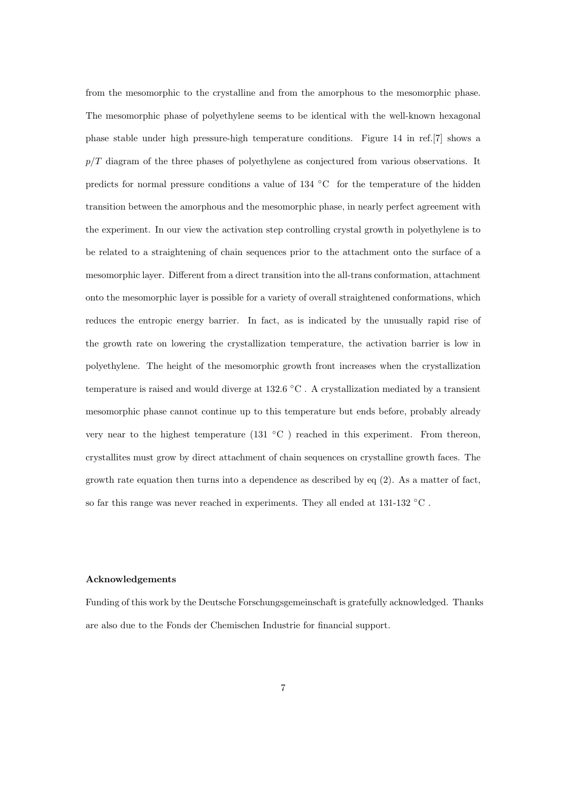from the mesomorphic to the crystalline and from the amorphous to the mesomorphic phase. The mesomorphic phase of polyethylene seems to be identical with the well-known hexagonal phase stable under high pressure-high temperature conditions. Figure 14 in ref.[7] shows a  $p/T$  diagram of the three phases of polyethylene as conjectured from various observations. It predicts for normal pressure conditions a value of 134 ◦C for the temperature of the hidden transition between the amorphous and the mesomorphic phase, in nearly perfect agreement with the experiment. In our view the activation step controlling crystal growth in polyethylene is to be related to a straightening of chain sequences prior to the attachment onto the surface of a mesomorphic layer. Different from a direct transition into the all-trans conformation, attachment onto the mesomorphic layer is possible for a variety of overall straightened conformations, which reduces the entropic energy barrier. In fact, as is indicated by the unusually rapid rise of the growth rate on lowering the crystallization temperature, the activation barrier is low in polyethylene. The height of the mesomorphic growth front increases when the crystallization temperature is raised and would diverge at 132.6 ◦C . A crystallization mediated by a transient mesomorphic phase cannot continue up to this temperature but ends before, probably already very near to the highest temperature (131 ◦C ) reached in this experiment. From thereon, crystallites must grow by direct attachment of chain sequences on crystalline growth faces. The growth rate equation then turns into a dependence as described by eq (2). As a matter of fact, so far this range was never reached in experiments. They all ended at 131-132 °C.

## Acknowledgements

Funding of this work by the Deutsche Forschungsgemeinschaft is gratefully acknowledged. Thanks are also due to the Fonds der Chemischen Industrie for financial support.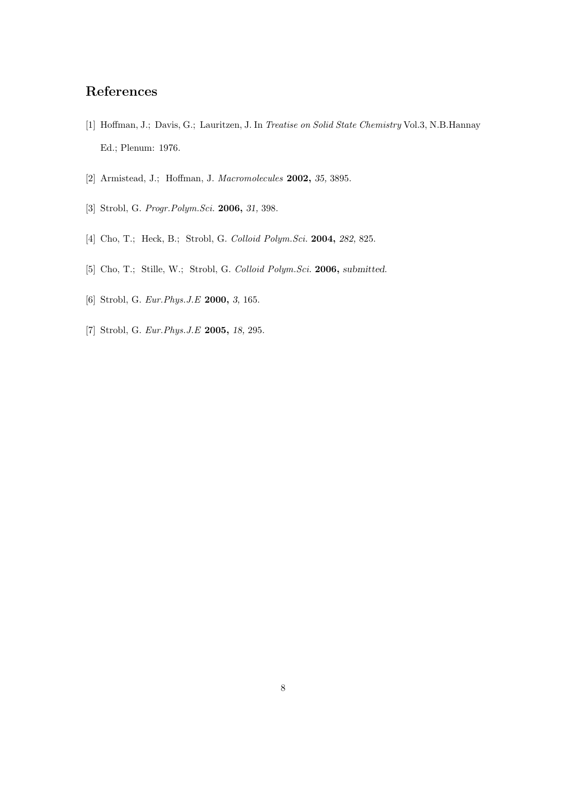## References

- [1] Hoffman, J.; Davis, G.; Lauritzen, J. In Treatise on Solid State Chemistry Vol.3, N.B.Hannay Ed.; Plenum: 1976.
- [2] Armistead, J.; Hoffman, J. Macromolecules 2002, 35, 3895.
- [3] Strobl, G. Progr.Polym.Sci. **2006**, 31, 398.
- [4] Cho, T.; Heck, B.; Strobl, G. Colloid Polym. Sci. 2004, 282, 825.
- [5] Cho, T.; Stille, W.; Strobl, G. Colloid Polym.Sci. 2006, submitted.
- [6] Strobl, G. Eur.Phys.J.E 2000, 3, 165.
- [7] Strobl, G. Eur.Phys.J.E 2005, 18, 295.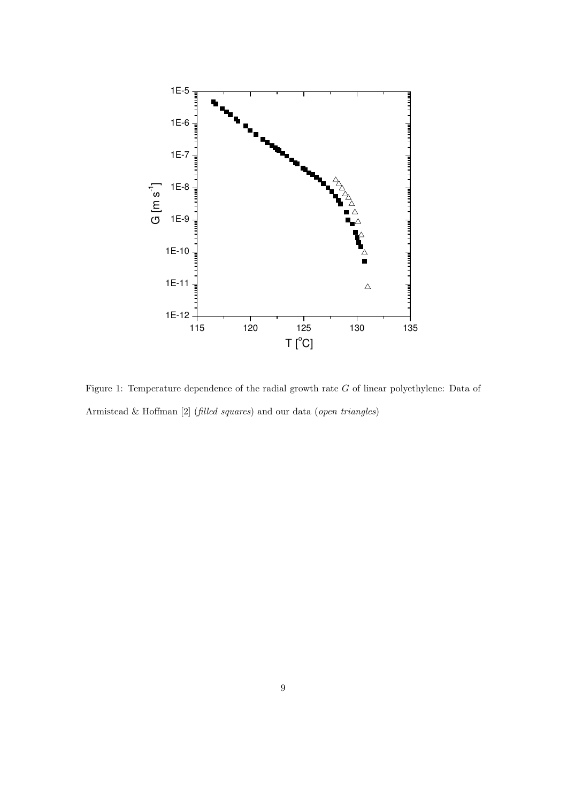

Figure 1: Temperature dependence of the radial growth rate G of linear polyethylene: Data of Armistead & Hoffman [2] (filled squares) and our data (open triangles)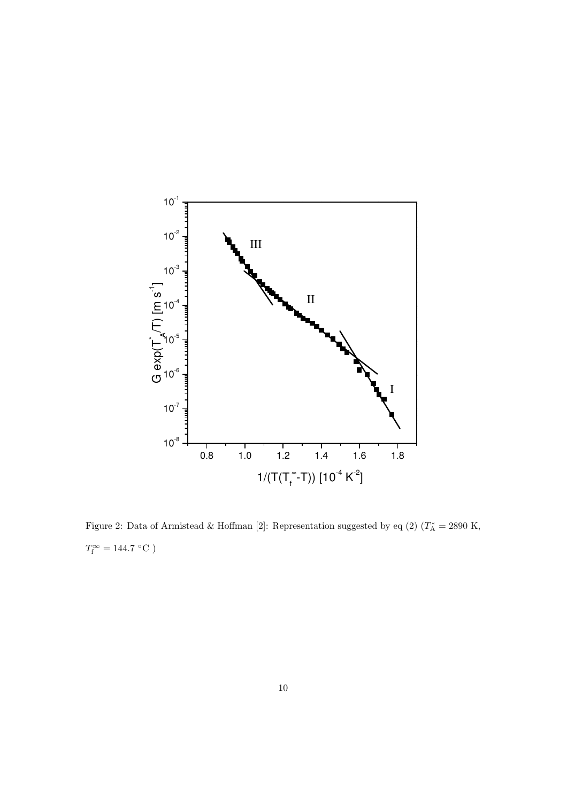

Figure 2: Data of Armistead & Hoffman [2]: Representation suggested by eq (2)  $(T_A^* = 2890 \text{ K},$  $T_{\rm f}^{\infty} = 144.7 \, {\rm ^\circ C}$ )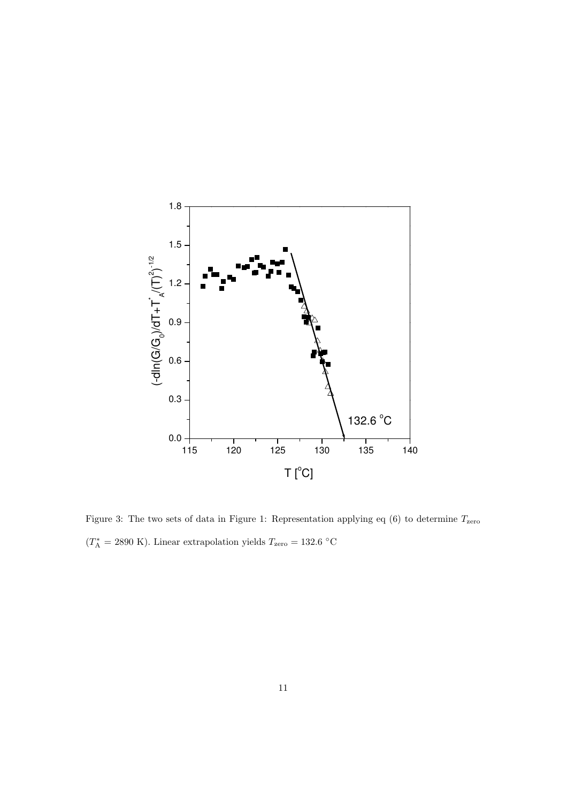

Figure 3: The two sets of data in Figure 1: Representation applying eq  $(6)$  to determine  $T_{\rm zero}$  $(T_A^* = 2890 \text{ K})$ . Linear extrapolation yields  $T_{\text{zero}} = 132.6 \text{ °C}$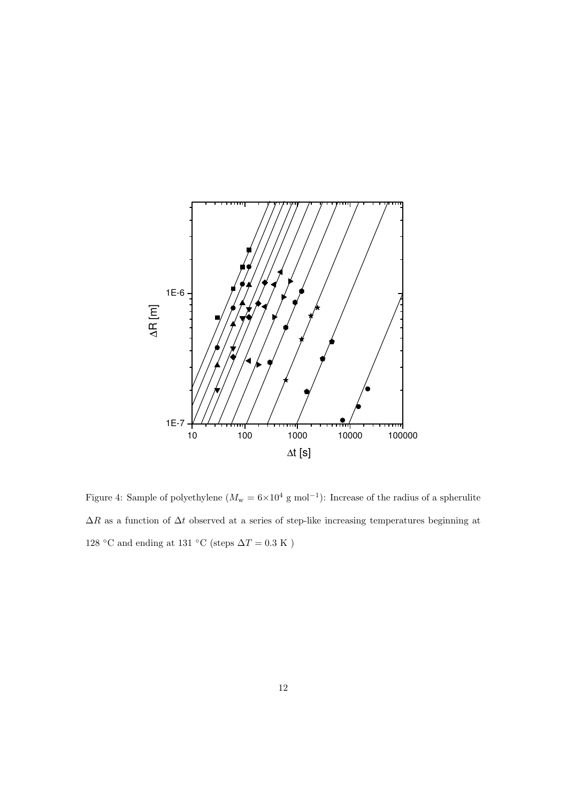

Figure 4: Sample of polyethylene  $(M_w = 6 \times 10^4 \text{ g mol}^{-1})$ : Increase of the radius of a spherulite  $\Delta R$  as a function of  $\Delta t$  observed at a series of step-like increasing temperatures beginning at 128 °C and ending at 131 °C (steps  $\Delta T = 0.3$  K )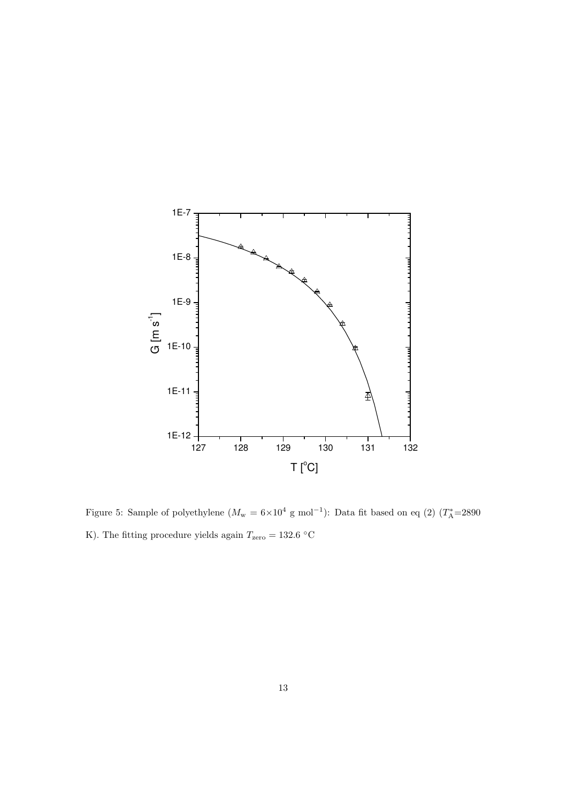

Figure 5: Sample of polyethylene  $(M_w = 6 \times 10^4 \text{ g mol}^{-1})$ : Data fit based on eq (2)  $(T_A^* = 2890$ K). The fitting procedure yields again  $T_{\text{zero}} = 132.6 \text{ °C}$